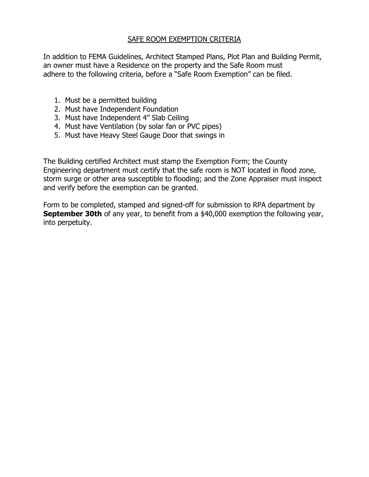## SAFE ROOM EXEMPTION CRITERIA

In addition to FEMA Guidelines, Architect Stamped Plans, Plot Plan and Building Permit, an owner must have a Residence on the property and the Safe Room must adhere to the following criteria, before a "Safe Room Exemption" can be filed.

- 1. Must be a permitted building
- 2. Must have Independent Foundation
- 3. Must have Independent 4" Slab Ceiling
- 4. Must have Ventilation (by solar fan or PVC pipes)
- 5. Must have Heavy Steel Gauge Door that swings in

The Building certified Architect must stamp the Exemption Form; the County Engineering department must certify that the safe room is NOT located in flood zone, storm surge or other area susceptible to flooding; and the Zone Appraiser must inspect and verify before the exemption can be granted.

Form to be completed, stamped and signed-off for submission to RPA department by **September 30th** of any year, to benefit from a \$40,000 exemption the following year, into perpetuity.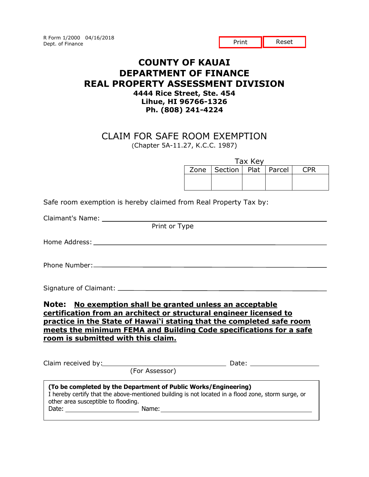R Form 1/2000 04/16/2018 Dept. of Finance

Print **II** Reset

## **COUNTY OF KAUAI DEPARTMENT OF FINANCE REAL PROPERTY ASSESSMENT DIVISION 4444 Rice Street, Ste. 454 Lihue, HI 96766-1326 Ph. (808) 241-4224**

## CLAIM FOR SAFE ROOM EXEMPTION (Chapter 5A-11.27, K.C.C. 1987)

Tax Key

| . |                                |  |  |     |  |
|---|--------------------------------|--|--|-----|--|
|   | Zone   Section   Plat   Parcel |  |  | CPR |  |
|   |                                |  |  |     |  |

Safe room exemption is hereby claimed from Real Property Tax by:

Claimant's Name:

Print or Type

Home Address:

Phone Number:

Signature of Claimant:

**Note: No exemption shall be granted unless an acceptable certification from an architect or structural engineer licensed to practice in the State of Hawai'i stating that the completed safe room meets the minimum FEMA and Building Code specifications for a safe room is submitted with this claim.** 

|                                                                                                                                                                                                                                                                       | Claim received by:<br><u>Claim received by:</u>                          | Date: ___________________                                                                          |
|-----------------------------------------------------------------------------------------------------------------------------------------------------------------------------------------------------------------------------------------------------------------------|--------------------------------------------------------------------------|----------------------------------------------------------------------------------------------------|
|                                                                                                                                                                                                                                                                       | (For Assessor)                                                           |                                                                                                    |
| other area susceptible to flooding.<br>Date: the contract of the contract of the contract of the contract of the contract of the contract of the contract of the contract of the contract of the contract of the contract of the contract of the contract of the cont | (To be completed by the Department of Public Works/Engineering)<br>Name: | I hereby certify that the above-mentioned building is not located in a flood zone, storm surge, or |